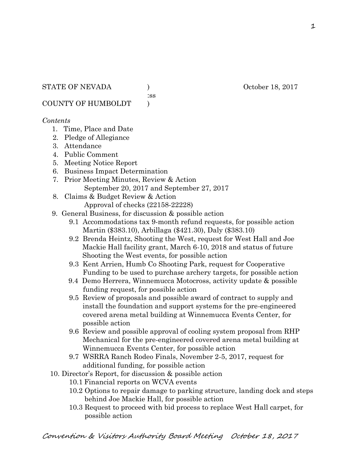:ss

COUNTY OF HUMBOLDT )

## *Contents*

- 1. Time, Place and Date
- 2. Pledge of Allegiance
- 3. Attendance
- 4. Public Comment
- 5. Meeting Notice Report
- 6. Business Impact Determination
- 7. Prior Meeting Minutes, Review & Action September 20, 2017 and September 27, 2017
- 8. Claims & Budget Review & Action
	- Approval of checks (22158-22228)
- 9. General Business, for discussion & possible action
	- 9.1 Accommodations tax 9-month refund requests, for possible action Martin (\$383.10), Arbillaga (\$421.30), Daly (\$383.10)
	- 9.2 Brenda Heintz, Shooting the West, request for West Hall and Joe Mackie Hall facility grant, March 6-10, 2018 and status of future Shooting the West events, for possible action
	- 9.3 Kent Arrien, Humb Co Shooting Park, request for Cooperative Funding to be used to purchase archery targets, for possible action
	- 9.4 Demo Herrera, Winnemucca Motocross, activity update & possible funding request, for possible action
	- 9.5 Review of proposals and possible award of contract to supply and install the foundation and support systems for the pre-engineered covered arena metal building at Winnemucca Events Center, for possible action
	- 9.6 Review and possible approval of cooling system proposal from RHP Mechanical for the pre-engineered covered arena metal building at Winnemucca Events Center, for possible action
	- 9.7 WSRRA Ranch Rodeo Finals, November 2-5, 2017, request for additional funding, for possible action
- 10. Director's Report, for discussion & possible action
	- 10.1 Financial reports on WCVA events
	- 10.2 Options to repair damage to parking structure, landing dock and steps behind Joe Mackie Hall, for possible action
	- 10.3 Request to proceed with bid process to replace West Hall carpet, for possible action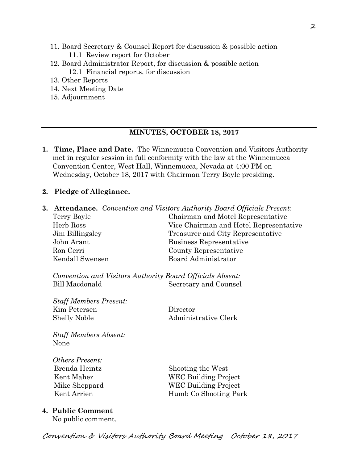- 11. Board Secretary & Counsel Report for discussion & possible action 11.1 Review report for October
- 12. Board Administrator Report, for discussion & possible action 12.1 Financial reports, for discussion
- 13. Other Reports
- 14. Next Meeting Date
- 15. Adjournment

### **MINUTES, OCTOBER 18, 2017**

- **1. Time, Place and Date.** The Winnemucca Convention and Visitors Authority met in regular session in full conformity with the law at the Winnemucca Convention Center, West Hall, Winnemucca, Nevada at 4:00 PM on Wednesday, October 18, 2017 with Chairman Terry Boyle presiding.
- **2. Pledge of Allegiance.**

No public comment.

**3. Attendance.** *Convention and Visitors Authority Board Officials Present:*  Terry Boyle Chairman and Motel Representative Herb Ross Vice Chairman and Hotel Representative Jim Billingsley Treasurer and City Representative John Arant Business Representative Ron Cerri County Representative Kendall Swensen Board Administrator *Convention and Visitors Authority Board Officials Absent:*  Bill Macdonald Secretary and Counsel *Staff Members Present:*  Kim Petersen Director Shelly Noble Administrative Clerk *Staff Members Absent:*  None *Others Present:*  Brenda Heintz Shooting the West Kent Maher WEC Building Project Mike Sheppard WEC Building Project Kent Arrien Humb Co Shooting Park **4. Public Comment**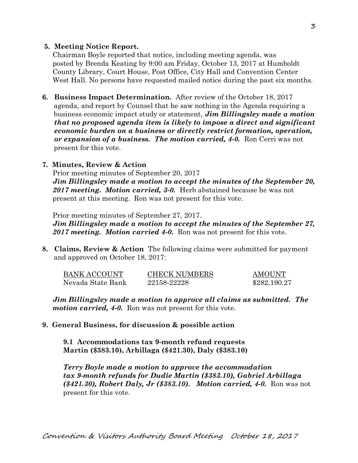### **5. Meeting Notice Report.**

Chairman Boyle reported that notice, including meeting agenda, was posted by Brenda Keating by 9:00 am Friday, October 13, 2017 at Humboldt County Library, Court House, Post Office, City Hall and Convention Center West Hall. No persons have requested mailed notice during the past six months.

**6. Business Impact Determination.** After review of the October 18, 2017 agenda, and report by Counsel that he saw nothing in the Agenda requiring a business economic impact study or statement, *Jim Billingsley made a motion that no proposed agenda item is likely to impose a direct and significant economic burden on a business or directly restrict formation, operation, or expansion of a business. The motion carried, 4-0.* Ron Cerri was not present for this vote.

## **7. Minutes, Review & Action**

Prior meeting minutes of September 20, 2017 *Jim Billingsley made a motion to accept the minutes of the September 20, 2017 meeting. Motion carried, 3-0.* Herb abstained because he was not present at this meeting. Ron was not present for this vote.

Prior meeting minutes of September 27, 2017.

*Jim Billingsley made a motion to accept the minutes of the September 27, 2017 meeting. Motion carried 4-0.* Ron was not present for this vote.

**8. Claims, Review & Action** The following claims were submitted for payment and approved on October 18, 2017:

| BANK ACCOUNT      | <b>CHECK NUMBERS</b> | AMOUNT       |
|-------------------|----------------------|--------------|
| Nevada State Bank | 22158-22228          | \$282,190.27 |

*Jim Billingsley made a motion to approve all claims as submitted. The motion carried, 4-0.* Ron was not present for this vote.

# **9. General Business, for discussion & possible action**

**9.1 Accommodations tax 9-month refund requests Martin (\$383.10), Arbillaga (\$421.30), Daly (\$383.10)** 

*Terry Boyle made a motion to approve the accommodation tax 9-month refunds for Dudie Martin (\$383.10), Gabriel Arbillaga (\$421.30), Robert Daly, Jr (\$383.10). Motion carried, 4-0.* Ron was not present for this vote.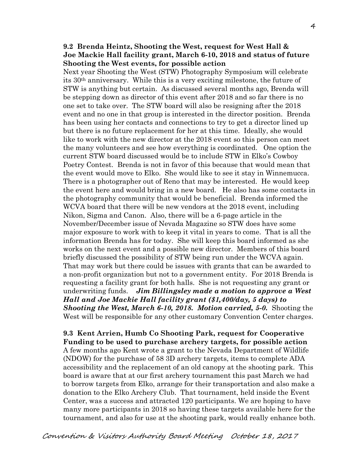### **9.2 Brenda Heintz, Shooting the West, request for West Hall & Joe Mackie Hall facility grant, March 6-10, 2018 and status of future Shooting the West events, for possible action**

Next year Shooting the West (STW) Photography Symposium will celebrate its 30th anniversary. While this is a very exciting milestone, the future of STW is anything but certain. As discussed several months ago, Brenda will be stepping down as director of this event after 2018 and so far there is no one set to take over. The STW board will also be resigning after the 2018 event and no one in that group is interested in the director position. Brenda has been using her contacts and connections to try to get a director lined up but there is no future replacement for her at this time. Ideally, she would like to work with the new director at the 2018 event so this person can meet the many volunteers and see how everything is coordinated. One option the current STW board discussed would be to include STW in Elko's Cowboy Poetry Contest. Brenda is not in favor of this because that would mean that the event would move to Elko. She would like to see it stay in Winnemucca. There is a photographer out of Reno that may be interested. He would keep the event here and would bring in a new board. He also has some contacts in the photography community that would be beneficial. Brenda informed the WCVA board that there will be new vendors at the 2018 event, including Nikon, Sigma and Canon. Also, there will be a 6-page article in the November/December issue of Nevada Magazine so STW does have some major exposure to work with to keep it vital in years to come. That is all the information Brenda has for today. She will keep this board informed as she works on the next event and a possible new director. Members of this board briefly discussed the possibility of STW being run under the WCVA again. That may work but there could be issues with grants that can be awarded to a non-profit organization but not to a government entity. For 2018 Brenda is requesting a facility grant for both halls. She is not requesting any grant or underwriting funds. *Jim Billingsley made a motion to approve a West Hall and Joe Mackie Hall facility grant (\$1,400/day, 5 days) to Shooting the West, March 6-10, 2018. Motion carried, 5-0.* Shooting the West will be responsible for any other customary Convention Center charges.

**9.3 Kent Arrien, Humb Co Shooting Park, request for Cooperative Funding to be used to purchase archery targets, for possible action** A few months ago Kent wrote a grant to the Nevada Department of Wildlife (NDOW) for the purchase of 58 3D archery targets, items to complete ADA accessibility and the replacement of an old canopy at the shooting park. This board is aware that at our first archery tournament this past March we had to borrow targets from Elko, arrange for their transportation and also make a donation to the Elko Archery Club. That tournament, held inside the Event Center, was a success and attracted 120 participants. We are hoping to have many more participants in 2018 so having these targets available here for the tournament, and also for use at the shooting park, would really enhance both.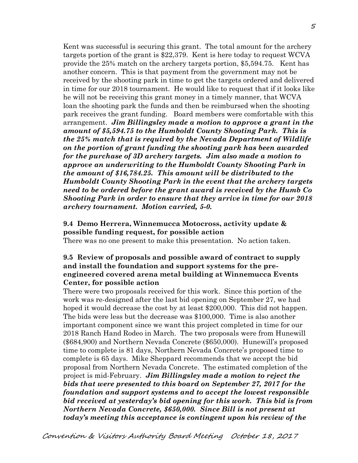Kent was successful is securing this grant. The total amount for the archery targets portion of the grant is \$22,379. Kent is here today to request WCVA provide the 25% match on the archery targets portion, \$5,594.75. Kent has another concern. This is that payment from the government may not be received by the shooting park in time to get the targets ordered and delivered in time for our 2018 tournament. He would like to request that if it looks like he will not be receiving this grant money in a timely manner, that WCVA loan the shooting park the funds and then be reimbursed when the shooting park receives the grant funding. Board members were comfortable with this arrangement. *Jim Billingsley made a motion to approve a grant in the amount of \$5,594.75 to the Humboldt County Shooting Park. This is the 25% match that is required by the Nevada Department of Wildlife on the portion of grant funding the shooting park has been awarded for the purchase of 3D archery targets. Jim also made a motion to approve an underwriting to the Humboldt County Shooting Park in the amount of \$16,784.25. This amount will be distributed to the Humboldt County Shooting Park in the event that the archery targets need to be ordered before the grant award is received by the Humb Co Shooting Park in order to ensure that they arrive in time for our 2018 archery tournament. Motion carried, 5-0.* 

### **9.4 Demo Herrera, Winnemucca Motocross, activity update & possible funding request, for possible action**

There was no one present to make this presentation. No action taken.

### **9.5 Review of proposals and possible award of contract to supply and install the foundation and support systems for the preengineered covered arena metal building at Winnemucca Events Center, for possible action**

There were two proposals received for this work. Since this portion of the work was re-designed after the last bid opening on September 27, we had hoped it would decrease the cost by at least \$200,000. This did not happen. The bids were less but the decrease was \$100,000. Time is also another important component since we want this project completed in time for our 2018 Ranch Hand Rodeo in March. The two proposals were from Hunewill (\$684,900) and Northern Nevada Concrete (\$650,000). Hunewill's proposed time to complete is 81 days, Northern Nevada Concrete's proposed time to complete is 65 days. Mike Sheppard recommends that we accept the bid proposal from Northern Nevada Concrete. The estimated completion of the project is mid-February. *Jim Billingsley made a motion to reject the bids that were presented to this board on September 27, 2017 for the foundation and support systems and to accept the lowest responsible bid received at yesterday's bid opening for this work. This bid is from Northern Nevada Concrete, \$650,000. Since Bill is not present at today's meeting this acceptance is contingent upon his review of the*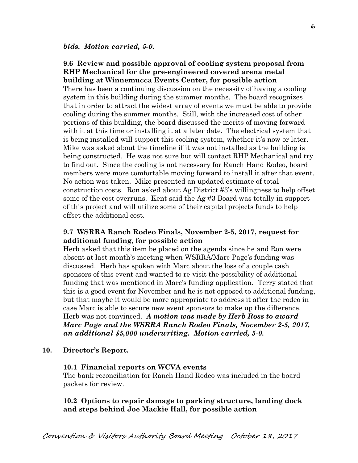#### **9.6 Review and possible approval of cooling system proposal from RHP Mechanical for the pre-engineered covered arena metal building at Winnemucca Events Center, for possible action**

There has been a continuing discussion on the necessity of having a cooling system in this building during the summer months. The board recognizes that in order to attract the widest array of events we must be able to provide cooling during the summer months. Still, with the increased cost of other portions of this building, the board discussed the merits of moving forward with it at this time or installing it at a later date. The electrical system that is being installed will support this cooling system, whether it's now or later. Mike was asked about the timeline if it was not installed as the building is being constructed. He was not sure but will contact RHP Mechanical and try to find out. Since the cooling is not necessary for Ranch Hand Rodeo, board members were more comfortable moving forward to install it after that event. No action was taken. Mike presented an updated estimate of total construction costs. Ron asked about Ag District #3's willingness to help offset some of the cost overruns. Kent said the Ag #3 Board was totally in support of this project and will utilize some of their capital projects funds to help offset the additional cost.

### **9.7 WSRRA Ranch Rodeo Finals, November 2-5, 2017, request for additional funding, for possible action**

Herb asked that this item be placed on the agenda since he and Ron were absent at last month's meeting when WSRRA/Marc Page's funding was discussed. Herb has spoken with Marc about the loss of a couple cash sponsors of this event and wanted to re-visit the possibility of additional funding that was mentioned in Marc's funding application. Terry stated that this is a good event for November and he is not opposed to additional funding, but that maybe it would be more appropriate to address it after the rodeo in case Marc is able to secure new event sponsors to make up the difference. Herb was not convinced. *A motion was made by Herb Ross to award Marc Page and the WSRRA Ranch Rodeo Finals, November 2-5, 2017, an additional \$5,000 underwriting. Motion carried, 5-0.* 

#### **10. Director's Report.**

#### **10.1 Financial reports on WCVA events**

The bank reconciliation for Ranch Hand Rodeo was included in the board packets for review.

#### **10.2 Options to repair damage to parking structure, landing dock and steps behind Joe Mackie Hall, for possible action**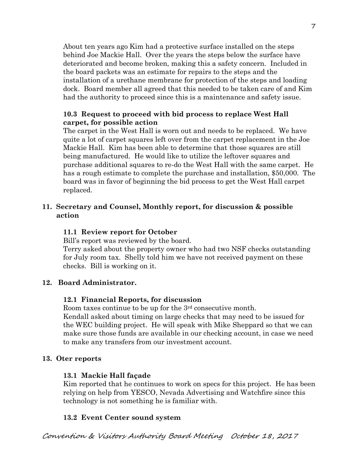About ten years ago Kim had a protective surface installed on the steps behind Joe Mackie Hall. Over the years the steps below the surface have deteriorated and become broken, making this a safety concern. Included in the board packets was an estimate for repairs to the steps and the installation of a urethane membrane for protection of the steps and loading dock. Board member all agreed that this needed to be taken care of and Kim had the authority to proceed since this is a maintenance and safety issue.

# **10.3 Request to proceed with bid process to replace West Hall carpet, for possible action**

The carpet in the West Hall is worn out and needs to be replaced. We have quite a lot of carpet squares left over from the carpet replacement in the Joe Mackie Hall. Kim has been able to determine that those squares are still being manufactured. He would like to utilize the leftover squares and purchase additional squares to re-do the West Hall with the same carpet. He has a rough estimate to complete the purchase and installation, \$50,000. The board was in favor of beginning the bid process to get the West Hall carpet replaced.

# **11. Secretary and Counsel, Monthly report, for discussion & possible action**

# **11.1 Review report for October**

Bill's report was reviewed by the board.

Terry asked about the property owner who had two NSF checks outstanding for July room tax. Shelly told him we have not received payment on these checks. Bill is working on it.

# **12. Board Administrator.**

# **12.1 Financial Reports, for discussion**

Room taxes continue to be up for the 3rd consecutive month.

Kendall asked about timing on large checks that may need to be issued for the WEC building project. He will speak with Mike Sheppard so that we can make sure those funds are available in our checking account, in case we need to make any transfers from our investment account.

# **13. Oter reports**

# **13.1 Mackie Hall façade**

Kim reported that he continues to work on specs for this project. He has been relying on help from YESCO, Nevada Advertising and Watchfire since this technology is not something he is familiar with.

# **13.2 Event Center sound system**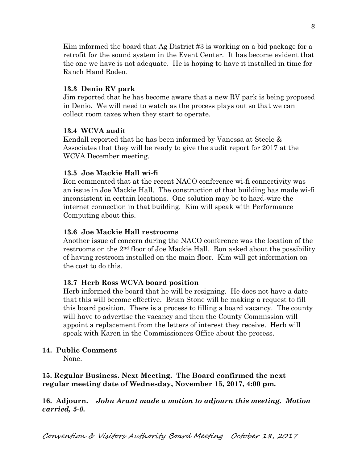Kim informed the board that Ag District #3 is working on a bid package for a retrofit for the sound system in the Event Center. It has become evident that the one we have is not adequate. He is hoping to have it installed in time for Ranch Hand Rodeo.

### **13.3 Denio RV park**

Jim reported that he has become aware that a new RV park is being proposed in Denio. We will need to watch as the process plays out so that we can collect room taxes when they start to operate.

#### **13.4 WCVA audit**

Kendall reported that he has been informed by Vanessa at Steele & Associates that they will be ready to give the audit report for 2017 at the WCVA December meeting.

#### **13.5 Joe Mackie Hall wi-fi**

Ron commented that at the recent NACO conference wi-fi connectivity was an issue in Joe Mackie Hall. The construction of that building has made wi-fi inconsistent in certain locations. One solution may be to hard-wire the internet connection in that building. Kim will speak with Performance Computing about this.

#### **13.6 Joe Mackie Hall restrooms**

Another issue of concern during the NACO conference was the location of the restrooms on the 2nd floor of Joe Mackie Hall. Ron asked about the possibility of having restroom installed on the main floor. Kim will get information on the cost to do this.

#### **13.7 Herb Ross WCVA board position**

Herb informed the board that he will be resigning. He does not have a date that this will become effective. Brian Stone will be making a request to fill this board position. There is a process to filling a board vacancy. The county will have to advertise the vacancy and then the County Commission will appoint a replacement from the letters of interest they receive. Herb will speak with Karen in the Commissioners Office about the process.

#### **14. Public Comment**

None.

## **15. Regular Business. Next Meeting. The Board confirmed the next regular meeting date of Wednesday, November 15, 2017, 4:00 pm.**

**16. Adjourn.** *John Arant made a motion to adjourn this meeting. Motion carried, 5-0.*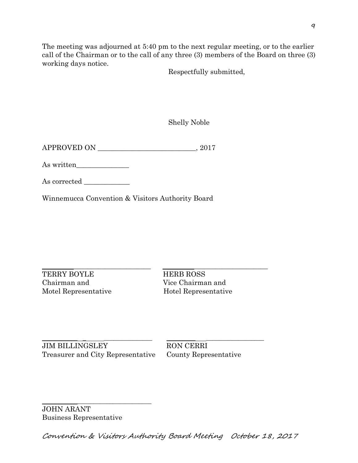The meeting was adjourned at 5:40 pm to the next regular meeting, or to the earlier call of the Chairman or to the call of any three (3) members of the Board on three (3) working days notice.

Respectfully submitted,

Shelly Noble

APPROVED ON \_\_\_\_\_\_\_\_\_\_\_\_\_\_\_\_\_\_\_\_\_\_\_\_\_\_\_\_, 2017

As written\_\_\_\_\_\_\_\_\_\_\_\_\_\_\_

As corrected

Winnemucca Convention & Visitors Authority Board

TERRY BOYLE HERB ROSS Chairman and Vice Chairman and Motel Representative Hotel Representative

 $\_$  ,  $\_$  ,  $\_$  ,  $\_$  ,  $\_$  ,  $\_$  ,  $\_$  ,  $\_$  ,  $\_$  ,  $\_$  ,  $\_$  ,  $\_$  ,  $\_$  ,  $\_$  ,  $\_$  ,  $\_$  ,  $\_$  ,  $\_$  ,  $\_$  ,  $\_$  ,  $\_$  ,  $\_$  ,  $\_$  ,  $\_$  ,  $\_$  ,  $\_$  ,  $\_$  ,  $\_$  ,  $\_$  ,  $\_$  ,  $\_$  ,  $\_$  ,  $\_$  ,  $\_$  ,  $\_$  ,  $\_$  ,  $\_$  ,

\_\_\_\_\_\_\_\_\_\_\_ \_ \_\_\_\_\_\_\_\_\_\_\_\_\_\_\_ \_\_\_\_\_\_\_\_\_ \_\_\_\_\_\_\_\_\_\_\_\_\_\_\_\_\_\_ JIM BILLINGSLEY RON CERRI Treasurer and City Representative County Representative

\_\_\_\_\_\_\_\_\_\_\_\_\_\_\_\_\_\_\_\_\_\_\_\_\_\_\_\_\_\_\_\_\_\_

JOHN ARANT Business Representative